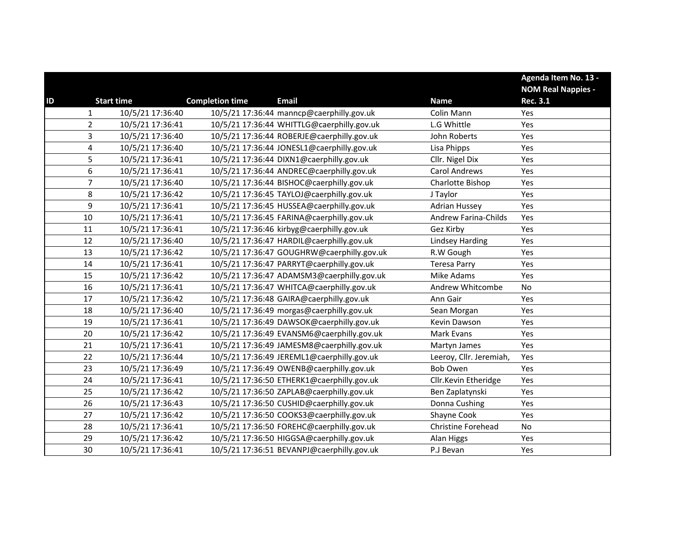|    |                |                   |                        |                                            |                             | Agenda Item No. 13 -      |
|----|----------------|-------------------|------------------------|--------------------------------------------|-----------------------------|---------------------------|
|    |                |                   |                        |                                            |                             | <b>NOM Real Nappies -</b> |
| ID |                | <b>Start time</b> | <b>Completion time</b> | <b>Email</b>                               | <b>Name</b>                 | <b>Rec. 3.1</b>           |
|    | $\mathbf{1}$   | 10/5/21 17:36:40  |                        | 10/5/21 17:36:44 manncp@caerphilly.gov.uk  | Colin Mann                  | Yes                       |
|    | $\overline{2}$ | 10/5/21 17:36:41  |                        | 10/5/21 17:36:44 WHITTLG@caerphilly.gov.uk | L.G Whittle                 | Yes                       |
|    | 3              | 10/5/21 17:36:40  |                        | 10/5/21 17:36:44 ROBERJE@caerphilly.gov.uk | John Roberts                | Yes                       |
|    | 4              | 10/5/21 17:36:40  |                        | 10/5/21 17:36:44 JONESL1@caerphilly.gov.uk | Lisa Phipps                 | Yes                       |
|    | 5              | 10/5/21 17:36:41  |                        | 10/5/21 17:36:44 DIXN1@caerphilly.gov.uk   | Cllr. Nigel Dix             | Yes                       |
|    | 6              | 10/5/21 17:36:41  |                        | 10/5/21 17:36:44 ANDREC@caerphilly.gov.uk  | <b>Carol Andrews</b>        | Yes                       |
|    | $\overline{7}$ | 10/5/21 17:36:40  |                        | 10/5/21 17:36:44 BISHOC@caerphilly.gov.uk  | Charlotte Bishop            | Yes                       |
|    | 8              | 10/5/21 17:36:42  |                        | 10/5/21 17:36:45 TAYLOJ@caerphilly.gov.uk  | J Taylor                    | Yes                       |
|    | 9              | 10/5/21 17:36:41  |                        | 10/5/21 17:36:45 HUSSEA@caerphilly.gov.uk  | <b>Adrian Hussey</b>        | Yes                       |
|    | 10             | 10/5/21 17:36:41  |                        | 10/5/21 17:36:45 FARINA@caerphilly.gov.uk  | <b>Andrew Farina-Childs</b> | Yes                       |
|    | 11             | 10/5/21 17:36:41  |                        | 10/5/21 17:36:46 kirbyg@caerphilly.gov.uk  | Gez Kirby                   | Yes                       |
|    | 12             | 10/5/21 17:36:40  |                        | 10/5/21 17:36:47 HARDIL@caerphilly.gov.uk  | <b>Lindsey Harding</b>      | Yes                       |
|    | 13             | 10/5/21 17:36:42  |                        | 10/5/21 17:36:47 GOUGHRW@caerphilly.gov.uk | R.W Gough                   | Yes                       |
|    | 14             | 10/5/21 17:36:41  |                        | 10/5/21 17:36:47 PARRYT@caerphilly.gov.uk  | <b>Teresa Parry</b>         | Yes                       |
|    | 15             | 10/5/21 17:36:42  |                        | 10/5/21 17:36:47 ADAMSM3@caerphilly.gov.uk | Mike Adams                  | Yes                       |
|    | 16             | 10/5/21 17:36:41  |                        | 10/5/21 17:36:47 WHITCA@caerphilly.gov.uk  | Andrew Whitcombe            | <b>No</b>                 |
|    | 17             | 10/5/21 17:36:42  |                        | 10/5/21 17:36:48 GAIRA@caerphilly.gov.uk   | Ann Gair                    | Yes                       |
|    | 18             | 10/5/21 17:36:40  |                        | 10/5/21 17:36:49 morgas@caerphilly.gov.uk  | Sean Morgan                 | Yes                       |
|    | 19             | 10/5/21 17:36:41  |                        | 10/5/21 17:36:49 DAWSOK@caerphilly.gov.uk  | Kevin Dawson                | Yes                       |
|    | 20             | 10/5/21 17:36:42  |                        | 10/5/21 17:36:49 EVANSM6@caerphilly.gov.uk | Mark Evans                  | Yes                       |
|    | 21             | 10/5/21 17:36:41  |                        | 10/5/21 17:36:49 JAMESM8@caerphilly.gov.uk | Martyn James                | Yes                       |
|    | 22             | 10/5/21 17:36:44  |                        | 10/5/21 17:36:49 JEREML1@caerphilly.gov.uk | Leeroy, Cllr. Jeremiah,     | Yes                       |
|    | 23             | 10/5/21 17:36:49  |                        | 10/5/21 17:36:49 OWENB@caerphilly.gov.uk   | <b>Bob Owen</b>             | Yes                       |
|    | 24             | 10/5/21 17:36:41  |                        | 10/5/21 17:36:50 ETHERK1@caerphilly.gov.uk | Cllr.Kevin Etheridge        | Yes                       |
|    | 25             | 10/5/21 17:36:42  |                        | 10/5/21 17:36:50 ZAPLAB@caerphilly.gov.uk  | Ben Zaplatynski             | Yes                       |
|    | 26             | 10/5/21 17:36:43  |                        | 10/5/21 17:36:50 CUSHID@caerphilly.gov.uk  | Donna Cushing               | Yes                       |
|    | 27             | 10/5/21 17:36:42  |                        | 10/5/21 17:36:50 COOKS3@caerphilly.gov.uk  | Shayne Cook                 | Yes                       |
|    | 28             | 10/5/21 17:36:41  |                        | 10/5/21 17:36:50 FOREHC@caerphilly.gov.uk  | Christine Forehead          | No                        |
|    | 29             | 10/5/21 17:36:42  |                        | 10/5/21 17:36:50 HIGGSA@caerphilly.gov.uk  | <b>Alan Higgs</b>           | Yes                       |
|    | 30             | 10/5/21 17:36:41  |                        | 10/5/21 17:36:51 BEVANPJ@caerphilly.gov.uk | P.J Bevan                   | Yes                       |
|    |                |                   |                        |                                            |                             |                           |